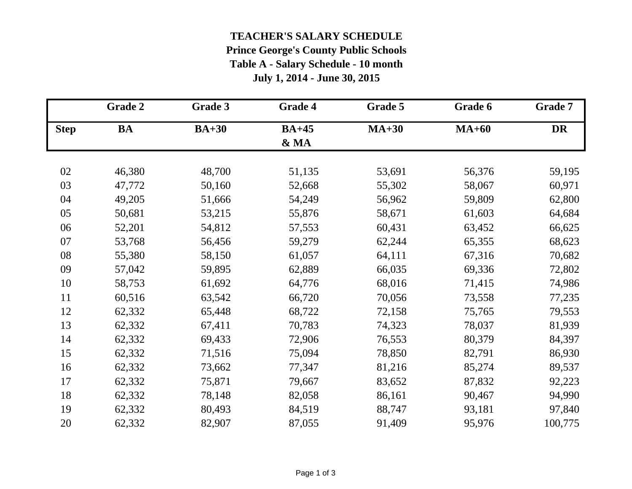## **TEACHER'S SALARY SCHEDULE**

## **Prince George's County Public Schools Table A - Salary Schedule - 10 month**

**July 1, 2014 - June 30, 2015**

|             | Grade 2   | Grade 3 | Grade 4 | Grade 5 | Grade 6 | <b>Grade 7</b> |
|-------------|-----------|---------|---------|---------|---------|----------------|
| <b>Step</b> | <b>BA</b> | $BA+30$ | $BA+45$ | $MA+30$ | $MA+60$ | <b>DR</b>      |
|             |           |         | & MA    |         |         |                |
| 02          | 46,380    | 48,700  | 51,135  | 53,691  | 56,376  | 59,195         |
| 03          | 47,772    | 50,160  | 52,668  | 55,302  | 58,067  | 60,971         |
| 04          | 49,205    | 51,666  | 54,249  | 56,962  | 59,809  | 62,800         |
| 05          | 50,681    | 53,215  | 55,876  | 58,671  | 61,603  | 64,684         |
| 06          | 52,201    | 54,812  | 57,553  | 60,431  | 63,452  | 66,625         |
| 07          | 53,768    | 56,456  | 59,279  | 62,244  | 65,355  | 68,623         |
| 08          | 55,380    | 58,150  | 61,057  | 64,111  | 67,316  | 70,682         |
| 09          | 57,042    | 59,895  | 62,889  | 66,035  | 69,336  | 72,802         |
| 10          | 58,753    | 61,692  | 64,776  | 68,016  | 71,415  | 74,986         |
| 11          | 60,516    | 63,542  | 66,720  | 70,056  | 73,558  | 77,235         |
| 12          | 62,332    | 65,448  | 68,722  | 72,158  | 75,765  | 79,553         |
| 13          | 62,332    | 67,411  | 70,783  | 74,323  | 78,037  | 81,939         |
| 14          | 62,332    | 69,433  | 72,906  | 76,553  | 80,379  | 84,397         |
| 15          | 62,332    | 71,516  | 75,094  | 78,850  | 82,791  | 86,930         |
| 16          | 62,332    | 73,662  | 77,347  | 81,216  | 85,274  | 89,537         |
| 17          | 62,332    | 75,871  | 79,667  | 83,652  | 87,832  | 92,223         |
| 18          | 62,332    | 78,148  | 82,058  | 86,161  | 90,467  | 94,990         |
| 19          | 62,332    | 80,493  | 84,519  | 88,747  | 93,181  | 97,840         |
| 20          | 62,332    | 82,907  | 87,055  | 91,409  | 95,976  | 100,775        |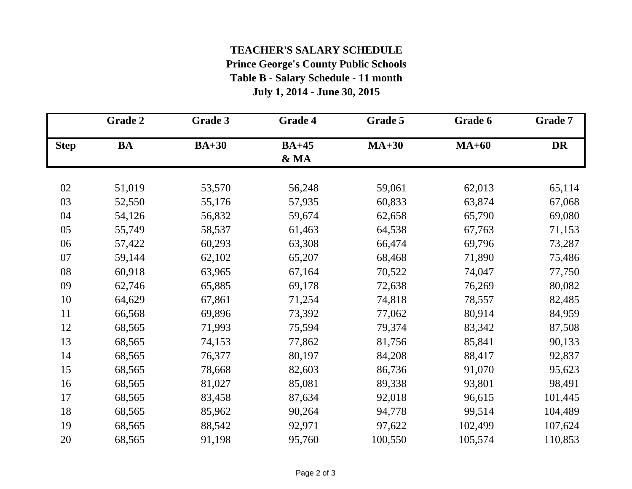## **TEACHER'S SALARY SCHEDULE Prince George's County Public Schools Table B - Salary Schedule - 11 month**

**July 1, 2014 - June 30, 2015**

|             | Grade 2   | Grade 3 | <b>Grade 4</b>  | Grade 5 | Grade 6 | Grade 7   |
|-------------|-----------|---------|-----------------|---------|---------|-----------|
| <b>Step</b> | <b>BA</b> | $BA+30$ | $BA+45$<br>& MA | $MA+30$ | $MA+60$ | <b>DR</b> |
| 02          | 51,019    | 53,570  | 56,248          | 59,061  | 62,013  | 65,114    |
| 03          | 52,550    | 55,176  | 57,935          | 60,833  | 63,874  | 67,068    |
| 04          | 54,126    | 56,832  | 59,674          | 62,658  | 65,790  | 69,080    |
| 05          | 55,749    | 58,537  | 61,463          | 64,538  | 67,763  | 71,153    |
| 06          | 57,422    | 60,293  | 63,308          | 66,474  | 69,796  | 73,287    |
| 07          | 59,144    | 62,102  | 65,207          | 68,468  | 71,890  | 75,486    |
| 08          | 60,918    | 63,965  | 67,164          | 70,522  | 74,047  | 77,750    |
| 09          | 62,746    | 65,885  | 69,178          | 72,638  | 76,269  | 80,082    |
| 10          | 64,629    | 67,861  | 71,254          | 74,818  | 78,557  | 82,485    |
| 11          | 66,568    | 69,896  | 73,392          | 77,062  | 80,914  | 84,959    |
| 12          | 68,565    | 71,993  | 75,594          | 79,374  | 83,342  | 87,508    |
| 13          | 68,565    | 74,153  | 77,862          | 81,756  | 85,841  | 90,133    |
| 14          | 68,565    | 76,377  | 80,197          | 84,208  | 88,417  | 92,837    |
| 15          | 68,565    | 78,668  | 82,603          | 86,736  | 91,070  | 95,623    |
| 16          | 68,565    | 81,027  | 85,081          | 89,338  | 93,801  | 98,491    |
| 17          | 68,565    | 83,458  | 87,634          | 92,018  | 96,615  | 101,445   |
| 18          | 68,565    | 85,962  | 90,264          | 94,778  | 99,514  | 104,489   |
| 19          | 68,565    | 88,542  | 92,971          | 97,622  | 102,499 | 107,624   |
| 20          | 68,565    | 91,198  | 95,760          | 100,550 | 105,574 | 110,853   |